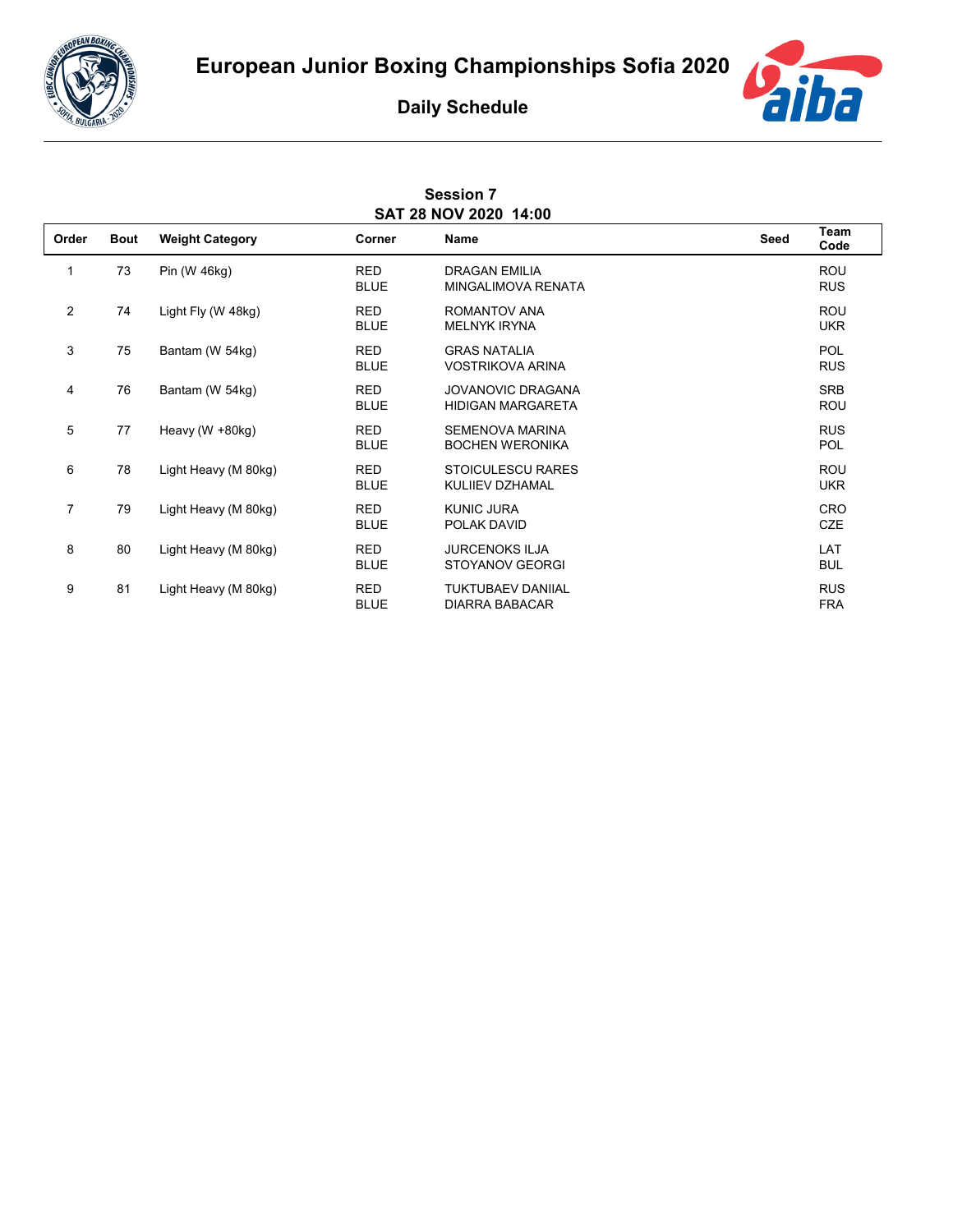



## **Daily Schedule**

| <b>Session 7</b>      |  |  |  |  |  |
|-----------------------|--|--|--|--|--|
| SAT 28 NOV 2020 14:00 |  |  |  |  |  |

| Order          | <b>Bout</b> | <b>Weight Category</b> | Corner                    | Name                                                 | Seed | Team<br>Code             |
|----------------|-------------|------------------------|---------------------------|------------------------------------------------------|------|--------------------------|
| 1              | 73          | Pin (W 46kg)           | <b>RED</b><br><b>BLUE</b> | <b>DRAGAN EMILIA</b><br>MINGALIMOVA RENATA           |      | <b>ROU</b><br><b>RUS</b> |
| $\overline{2}$ | 74          | Light Fly (W 48kg)     | <b>RED</b><br><b>BLUE</b> | ROMANTOV ANA<br><b>MELNYK IRYNA</b>                  |      | <b>ROU</b><br><b>UKR</b> |
| 3              | 75          | Bantam (W 54kg)        | <b>RED</b><br><b>BLUE</b> | <b>GRAS NATALIA</b><br><b>VOSTRIKOVA ARINA</b>       |      | <b>POL</b><br><b>RUS</b> |
| 4              | 76          | Bantam (W 54kg)        | <b>RED</b><br><b>BLUE</b> | <b>JOVANOVIC DRAGANA</b><br><b>HIDIGAN MARGARETA</b> |      | <b>SRB</b><br><b>ROU</b> |
| 5              | 77          | Heavy (W +80kg)        | <b>RED</b><br><b>BLUE</b> | SEMENOVA MARINA<br><b>BOCHEN WERONIKA</b>            |      | <b>RUS</b><br><b>POL</b> |
| 6              | 78          | Light Heavy (M 80kg)   | <b>RED</b><br><b>BLUE</b> | <b>STOICULESCU RARES</b><br>KULIIEV DZHAMAL          |      | <b>ROU</b><br><b>UKR</b> |
| $\overline{7}$ | 79          | Light Heavy (M 80kg)   | <b>RED</b><br><b>BLUE</b> | <b>KUNIC JURA</b><br>POLAK DAVID                     |      | <b>CRO</b><br><b>CZE</b> |
| 8              | 80          | Light Heavy (M 80kg)   | <b>RED</b><br><b>BLUE</b> | <b>JURCENOKS ILJA</b><br><b>STOYANOV GEORGI</b>      |      | LAT<br><b>BUL</b>        |
| 9              | 81          | Light Heavy (M 80kg)   | <b>RED</b><br><b>BLUE</b> | <b>TUKTUBAEV DANIIAL</b><br><b>DIARRA BABACAR</b>    |      | <b>RUS</b><br><b>FRA</b> |